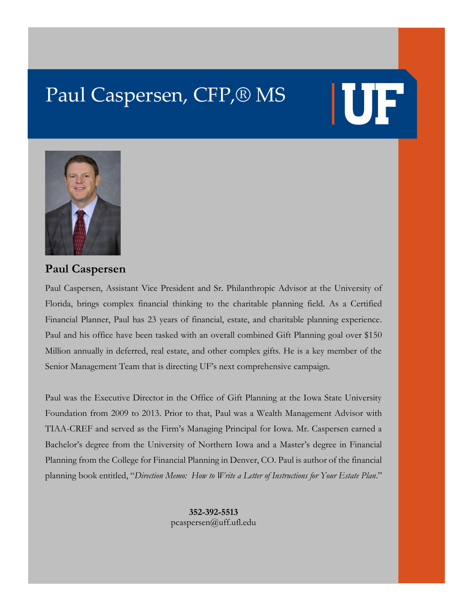# Paul Caspersen, CFP,® MS

# **IUF**



## **Paul Caspersen**

Paul Caspersen, Assistant Vice President and Sr. Philanthropic Advisor at the University of Florida, brings complex financial thinking to the charitable planning field. As a Certified Financial Planner, Paul has 23 years of financial, estate, and charitable planning experience. Paul and his office have been tasked with an overall combined Gift Planning goal over \$150 Million annually in deferred, real estate, and other complex gifts. He is a key member of the Senior Management Team that is directing UF's next comprehensive campaign.

Paul was the Executive Director in the Office of Gift Planning at the Iowa State University Foundation from 2009 to 2013. Prior to that, Paul was a Wealth Management Advisor with TIAA-CREF and served as the Firm's Managing Principal for Iowa. Mr. Caspersen earned a Bachelor's degree from the University of Northern Iowa and a Master's degree in Financial Planning from the College for Financial Planning in Denver, CO. Paul is author of the financial planning book entitled, "*Direction Memo: How to Write a Letter of Instructions for Your Estate Plan*."

> **352-392-5513** pcaspersen@uff.ufl.edu